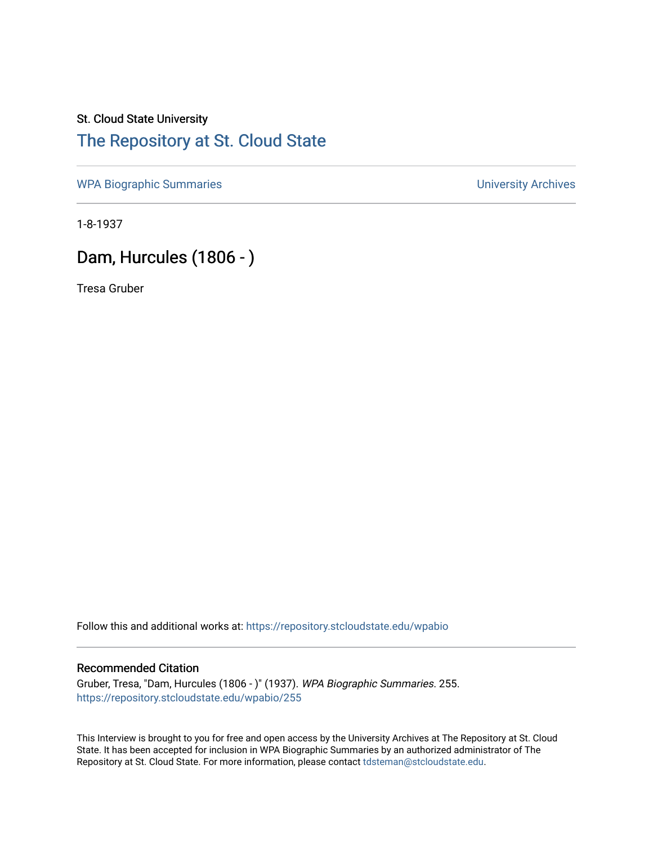## St. Cloud State University [The Repository at St. Cloud State](https://repository.stcloudstate.edu/)

[WPA Biographic Summaries](https://repository.stcloudstate.edu/wpabio) **WPA Biographic Summaries University Archives** 

1-8-1937

# Dam, Hurcules (1806 - )

Tresa Gruber

Follow this and additional works at: [https://repository.stcloudstate.edu/wpabio](https://repository.stcloudstate.edu/wpabio?utm_source=repository.stcloudstate.edu%2Fwpabio%2F255&utm_medium=PDF&utm_campaign=PDFCoverPages) 

### Recommended Citation

Gruber, Tresa, "Dam, Hurcules (1806 - )" (1937). WPA Biographic Summaries. 255. [https://repository.stcloudstate.edu/wpabio/255](https://repository.stcloudstate.edu/wpabio/255?utm_source=repository.stcloudstate.edu%2Fwpabio%2F255&utm_medium=PDF&utm_campaign=PDFCoverPages) 

This Interview is brought to you for free and open access by the University Archives at The Repository at St. Cloud State. It has been accepted for inclusion in WPA Biographic Summaries by an authorized administrator of The Repository at St. Cloud State. For more information, please contact [tdsteman@stcloudstate.edu.](mailto:tdsteman@stcloudstate.edu)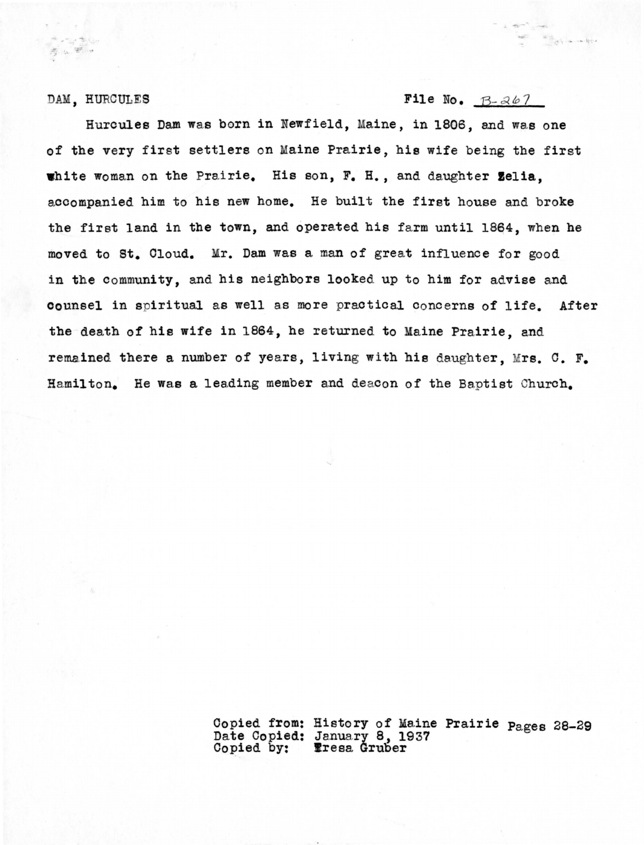• - first - security of the

### DAM, HURCULES **File** No.  $B - 267$

Hurcules Dam was born in Newfield, Maine, in 1806, and was one of the very first settlers on Maine Prairie, his wife being the first white woman on the Prairie. His son, F. H., and daughter Zelia. accompanied him to his new home. He built the first house and broke the first land in the town, and operated his farm until 1864, when he moved to St. Cloud. Mr. Dam was a man of great influence for good in the community, and his neighbors looked up to him for advise and counsel in spiritual as well as more practical concerns of life. After the death ef his **wife** in 18S4, he returned to Maine Prairie, and remained there a number of years, living with hie daughter, Mrs. c. F. Hamilton. He was a leading member and deacon of the Baptist Church.

> Copied from: History of Maine Prairie Pages 28-29 Date Copied: January 8, 1937 Copied by: **Eresa** Gruber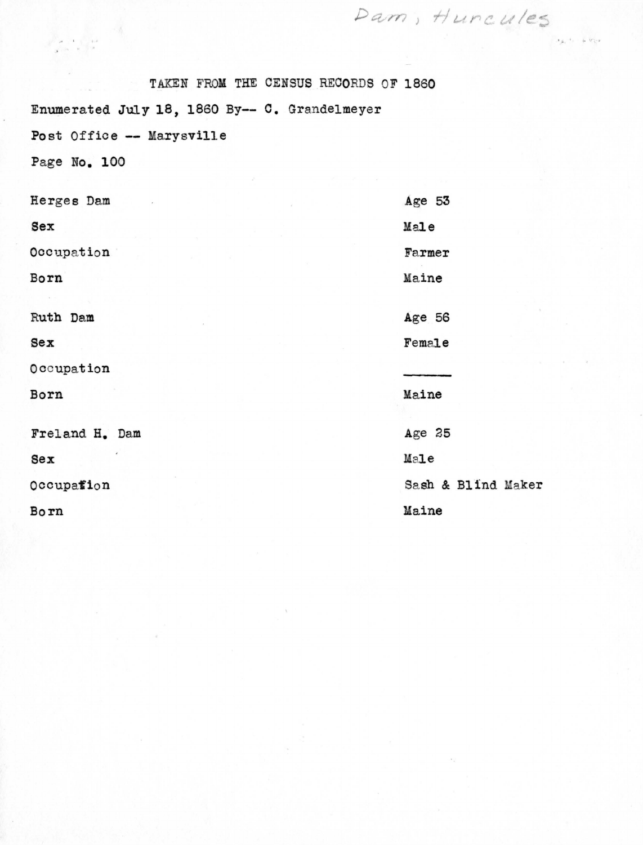TAKEN FROM THE CENSUS RECORDS OF 1860 Enumerated July 18, 1860 By-- c. Grandelmeyer Post Office -- Marysville

Page No. 100

 $\label{eq:2.1} \mathcal{L} = \frac{1}{2} \sum_{i=1}^{N} \mathbf{w}_i - \mathbf{v}_i \quad \mbox{and} \quad \mathbf{v}_i = \mathbf{v}_i$ 

| Herges Dam     | Age 53             |
|----------------|--------------------|
| Sex            | Male               |
| Occupation     | Farmer             |
| Born           | Maine              |
| Ruth Dam       | Age 56             |
| $sex$          | Female             |
| Occupation     |                    |
| Born           | Maine              |
| Freland H. Dam | Age 25             |
| Sex            | Male               |
| Occupation     | Sash & Blind Maker |
| Born           | Maine              |

Dam, Huncules

 $x_{k}$ ,  $t_{n}$  ,  $t_{n}$  ( $r_{k}$ )